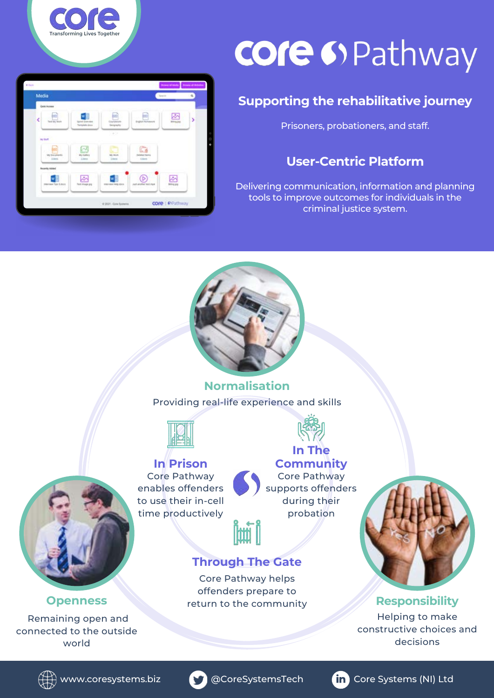

# **core** 69 Pathway

### **Supporting the rehabilitative journey**

Prisoners, probationers, and staff.

#### **User-Centric Platform**

Delivering communication, information and planning tools to improve outcomes for individuals in the criminal justice system.



Providing real-life experience and skills **Normalisation**



core ( OPathway



**In The Community** Core Pathway supports offenders during their probation

#### **Through The Gate**

Core Pathway helps offenders prepare to return to the community



#### **Responsibility**

Helping to make constructive choices and decisions



#### **Openness**

Remaining open and connected to the outside world